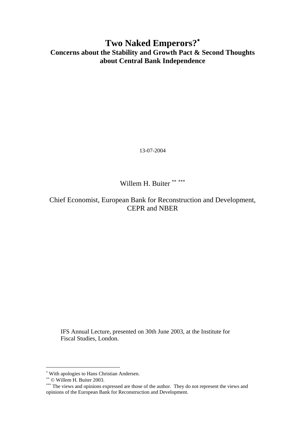# **Two Naked Emperors?**[∗](#page-0-0) **Concerns about the Stability and Growth Pact & Second Thoughts about Central Bank Independence**

13-07-2004

Willem H. Buiter \*\* \*\*\*

Chief Economist, European Bank for Reconstruction and Development, CEPR and NBER

IFS Annual Lecture, presented on 30th June 2003, at the Institute for Fiscal Studies, London.

<span id="page-0-0"></span> ∗ With apologies to Hans Christian Andersen.

<span id="page-0-1"></span><sup>∗∗</sup> © Willem H. Buiter 2003.

<sup>&</sup>lt;sup>\*\*\*</sup> The views and opinions expressed are those of the author. They do not represent the views and opinions of the European Bank for Reconstruction and Development.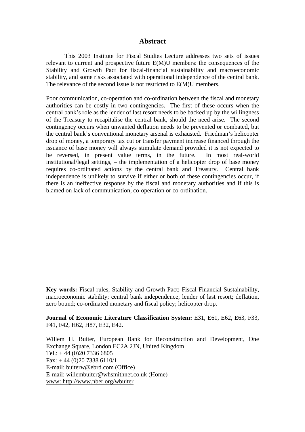#### **Abstract**

This 2003 Institute for Fiscal Studies Lecture addresses two sets of issues relevant to current and prospective future E(M)U members: the consequences of the Stability and Growth Pact for fiscal-financial sustainability and macroeconomic stability, and some risks associated with operational independence of the central bank. The relevance of the second issue is not restricted to E(M)U members.

Poor communication, co-operation and co-ordination between the fiscal and monetary authorities can be costly in two contingencies. The first of these occurs when the central bank's role as the lender of last resort needs to be backed up by the willingness of the Treasury to recapitalise the central bank, should the need arise. The second contingency occurs when unwanted deflation needs to be prevented or combated, but the central bank's conventional monetary arsenal is exhausted. Friedman's helicopter drop of money, a temporary tax cut or transfer payment increase financed through the issuance of base money will always stimulate demand provided it is not expected to be reversed, in present value terms, in the future. In most real-world institutional/legal settings, – the implementation of a helicopter drop of base money requires co-ordinated actions by the central bank and Treasury. Central bank independence is unlikely to survive if either or both of these contingencies occur, if there is an ineffective response by the fiscal and monetary authorities and if this is blamed on lack of communication, co-operation or co-ordination.

**Key words:** Fiscal rules, Stability and Growth Pact; Fiscal-Financial Sustainability, macroeconomic stability; central bank independence; lender of last resort; deflation, zero bound; co-ordinated monetary and fiscal policy; helicopter drop.

**Journal of Economic Literature Classification System:** E31, E61, E62, E63, F33, F41, F42, H62, H87, E32, E42.

Willem H. Buiter, European Bank for Reconstruction and Development, One Exchange Square, London EC2A 2JN, United Kingdom Tel.:  $+44(0)2073366805$ Fax: + 44 (0)20 7338 6110/1 E-mail: [buiterw@ebrd.com](mailto:buiterw@ebrd.com) (Office) E-mail: [willembuiter@whsmithnet.co.uk](mailto:willembuiter@whsmithnet.co.uk) (Home) www:<http://www.nber.org/wbuiter>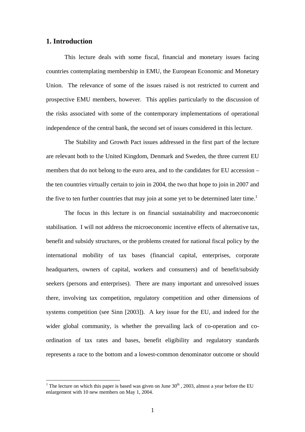### **1. Introduction**

 $\overline{a}$ 

This lecture deals with some fiscal, financial and monetary issues facing countries contemplating membership in EMU, the European Economic and Monetary Union. The relevance of some of the issues raised is not restricted to current and prospective EMU members, however. This applies particularly to the discussion of the risks associated with some of the contemporary implementations of operational independence of the central bank, the second set of issues considered in this lecture.

The Stability and Growth Pact issues addressed in the first part of the lecture are relevant both to the United Kingdom, Denmark and Sweden, the three current EU members that do not belong to the euro area, and to the candidates for EU accession – the ten countries virtually certain to join in 2004, the two that hope to join in 2007 and thefive to ten further countries that may join at some yet to be determined later time.<sup>1</sup>

The focus in this lecture is on financial sustainability and macroeconomic stabilisation. I will not address the microeconomic incentive effects of alternative tax, benefit and subsidy structures, or the problems created for national fiscal policy by the international mobility of tax bases (financial capital, enterprises, corporate headquarters, owners of capital, workers and consumers) and of benefit/subsidy seekers (persons and enterprises). There are many important and unresolved issues there, involving tax competition, regulatory competition and other dimensions of systems competition (see Sinn [2003]). A key issue for the EU, and indeed for the wider global community, is whether the prevailing lack of co-operation and coordination of tax rates and bases, benefit eligibility and regulatory standards represents a race to the bottom and a lowest-common denominator outcome or should

<span id="page-2-0"></span><sup>&</sup>lt;sup>1</sup> The lecture on which this paper is based was given on June  $30<sup>th</sup>$ , 2003, almost a year before the EU enlargement with 10 new members on May 1, 2004.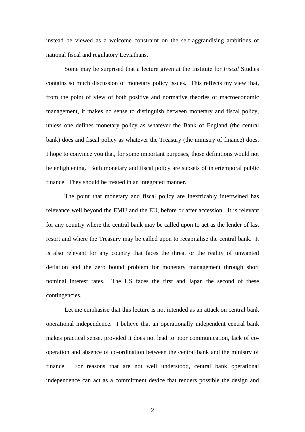instead be viewed as a welcome constraint on the self-aggrandising ambitions of national fiscal and regulatory Leviathans.

Some may be surprised that a lecture given at the Institute for *Fiscal* Studies contains so much discussion of monetary policy issues. This reflects my view that, from the point of view of both positive and normative theories of macroeconomic management, it makes no sense to distinguish between monetary and fiscal policy, unless one defines monetary policy as whatever the Bank of England (the central bank) does and fiscal policy as whatever the Treasury (the ministry of finance) does. I hope to convince you that, for some important purposes, those definitions would not be enlightening. Both monetary and fiscal policy are subsets of intertemporal public finance. They should be treated in an integrated manner.

The point that monetary and fiscal policy are inextricably intertwined has relevance well beyond the EMU and the EU, before or after accession. It is relevant for any country where the central bank may be called upon to act as the lender of last resort and where the Treasury may be called upon to recapitalise the central bank. It is also relevant for any country that faces the threat or the reality of unwanted deflation and the zero bound problem for monetary management through short nominal interest rates. The US faces the first and Japan the second of these contingencies.

Let me emphasise that this lecture is not intended as an attack on central bank operational independence. I believe that an operationally independent central bank makes practical sense, provided it does not lead to poor communication, lack of cooperation and absence of co-ordination between the central bank and the ministry of finance. For reasons that are not well understood, central bank operational independence can act as a commitment device that renders possible the design and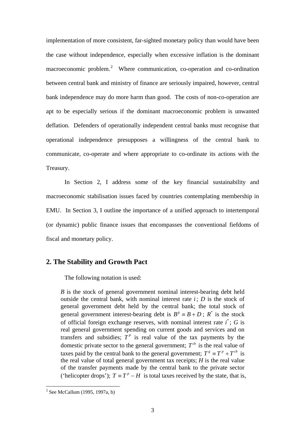implementation of more consistent, far-sighted monetary policy than would have been the case without independence, especially when excessive inflation is the dominant macroeconomicproblem.<sup>2</sup> Where communication, co-operation and co-ordination between central bank and ministry of finance are seriously impaired, however, central bank independence may do more harm than good. The costs of non-co-operation are apt to be especially serious if the dominant macroeconomic problem is unwanted deflation. Defenders of operationally independent central banks must recognise that operational independence presupposes a willingness of the central bank to communicate, co-operate and where appropriate to co-ordinate its actions with the Treasury.

In Section 2, I address some of the key financial sustainability and macroeconomic stabilisation issues faced by countries contemplating membership in EMU. In Section 3, I outline the importance of a unified approach to intertemporal (or dynamic) public finance issues that encompasses the conventional fiefdoms of fiscal and monetary policy.

### **2. The Stability and Growth Pact**

The following notation is used:

*B* is the stock of general government nominal interest-bearing debt held outside the central bank, with nominal interest rate  $i$ ;  $D$  is the stock of general government debt held by the central bank; the total stock of general government interest-bearing debt is  $B^g = B + D$ ;  $R^*$  is the stock of official foreign exchange reserves, with nominal interest rate  $i^*$ ; G is real general government spending on current goods and services and on transfers and subsidies;  $T<sup>p</sup>$  is real value of the tax payments by the domestic private sector to the general government;  $T^{cb}$  is the real value of taxes paid by the central bank to the general government;  $T^s = T^p + T^{cb}$  is the real value of total general government tax receipts; *H* is the real value of the transfer payments made by the central bank to the private sector ('helicopter drops');  $T \equiv T^p - H$  is total taxes received by the state, that is,

<span id="page-4-0"></span> $2$  See McCallum (1995, 1997a, b)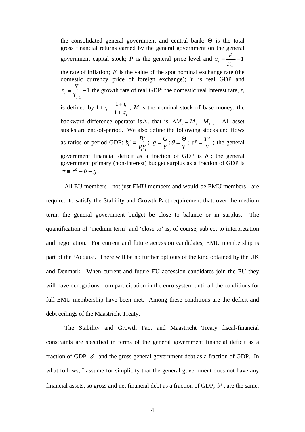the consolidated general government and central bank; Θ is the total gross financial returns earned by the general government on the general government capital stock; *P* is the general price level and  $\pi_t = \frac{I_t}{R} - 1$ 1 *t P*  $\pi_{t} \equiv \frac{I_{t}}{P_{t-1}} -$ − the rate of inflation; *E* is the value of the spot nominal exchange rate (the domestic currency price of foreign exchange); *Y* is real GDP and 1  $\frac{1}{t} \equiv \frac{1}{V} - 1$ *t*  $n_i \equiv \frac{Y_i}{Y_i}$  $Y_{t-}$  $\equiv \frac{I_t}{I} - 1$  the growth rate of real GDP; the domestic real interest rate, *r*, is defined by  $1 + r_i \equiv \frac{1}{1}$ 1  $\dot{t} \equiv \frac{1+t_t}{1+t_t}$ *t*  $r_t \equiv \frac{1+i_t}{1+\pi}$  $+r_t = \frac{1+}{t}$ + ; *M* is the nominal stock of base money; the backward difference operator is  $\Delta$ , that is,  $\Delta M_t \equiv M_t - M_{t-1}$ . All asset stocks are end-of-period. We also define the following stocks and flows as ratios of period GDP:  $b_t^g \equiv \frac{B_t}{\Delta x}$ ;  $g_t^g \equiv \frac{B_t^g}{R}$ *t t*  $b_t^g \equiv \frac{B_t^g}{P_t Y_t}; \ \ g \equiv \frac{G}{Y}; \theta \equiv \frac{G}{Y}$  $\theta \equiv \frac{\Theta}{\sigma}$ ;  $\tau^g \equiv \frac{T^g}{\sigma^2}$ *Y*  $\tau^g = \frac{1}{\tau}$ ; the general government financial deficit as a fraction of GDP is  $\delta$ ; the general government primary (non-interest) budget surplus as a fraction of GDP is  $\sigma \equiv \tau^g + \theta - g$ .

All EU members - not just EMU members and would-be EMU members - are required to satisfy the Stability and Growth Pact requirement that, over the medium term, the general government budget be close to balance or in surplus. The quantification of 'medium term' and 'close to' is, of course, subject to interpretation and negotiation. For current and future accession candidates, EMU membership is part of the 'Acquis'. There will be no further opt outs of the kind obtained by the UK and Denmark. When current and future EU accession candidates join the EU they will have derogations from participation in the euro system until all the conditions for full EMU membership have been met. Among these conditions are the deficit and debt ceilings of the Maastricht Treaty.

The Stability and Growth Pact and Maastricht Treaty fiscal-financial constraints are specified in terms of the general government financial deficit as a fraction of GDP,  $\delta$ , and the gross general government debt as a fraction of GDP. In what follows, I assume for simplicity that the general government does not have any financial assets, so gross and net financial debt as a fraction of GDP,  $b^s$ , are the same.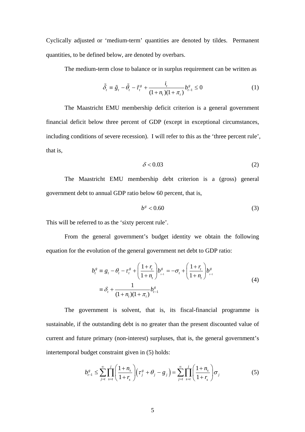Cyclically adjusted or 'medium-term' quantities are denoted by tildes. Permanent quantities, to be defined below, are denoted by overbars.

The medium-term close to balance or in surplus requirement can be written as

$$
\tilde{\delta}_t = \tilde{g}_t - \tilde{\theta}_t - \tilde{\tau}_t^s + \frac{i_t}{(1 + n_t)(1 + \pi_t)} b_{t-1}^s \le 0
$$
\n(1)

The Maastricht EMU membership deficit criterion is a general government financial deficit below three percent of GDP (except in exceptional circumstances, including conditions of severe recession). I will refer to this as the 'three percent rule', that is,

<span id="page-6-2"></span><span id="page-6-1"></span>
$$
\delta < 0.03\tag{2}
$$

The Maastricht EMU membership debt criterion is a (gross) general government debt to annual GDP ratio below 60 percent, that is,

<span id="page-6-3"></span>
$$
b^s < 0.60\tag{3}
$$

This will be referred to as the 'sixty percent rule'.

From the general government's budget identity we obtain the following equation for the evolution of the general government net debt to GDP ratio:

$$
b_t^s \equiv g_t - \theta_t - \tau_t^s + \left(\frac{1+r_t}{1+n_t}\right) b_{t-1}^s = -\sigma_t + \left(\frac{1+r_t}{1+n_t}\right) b_{t-1}^s
$$
  

$$
\equiv \delta_t + \frac{1}{(1+n_t)(1+\pi_t)} b_{t-1}^s
$$
 (4)

The government is solvent, that is, its fiscal-financial programme is sustainable, if the outstanding debt is no greater than the present discounted value of current and future primary (non-interest) surpluses, that is, the general government's intertemporal budget constraint given in [\(5\)](#page-6-0) holds:

<span id="page-6-0"></span>
$$
b_{t-1}^{g} \leq \sum_{j=t}^{\infty} \prod_{s=t}^{j} \left( \frac{1+n_s}{1+r_s} \right) \left( \tau_j^g + \theta_j - g_j \right) = \sum_{j=t}^{\infty} \prod_{s=t}^{j} \left( \frac{1+n_s}{1+r_s} \right) \sigma_j \tag{5}
$$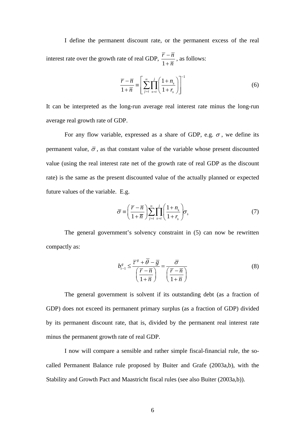I define the permanent discount rate, or the permanent excess of the real interest rate over the growth rate of real GDP, 1  $\overline{r}$  –  $\overline{n}$ *n* − + , as follows:

$$
\frac{\overline{r} - \overline{n}}{1 + \overline{n}} \equiv \left[ \sum_{j=t}^{\infty} \prod_{s=t}^{j} \left( \frac{1 + n_s}{1 + r_s} \right) \right]^{-1} \tag{6}
$$

It can be interpreted as the long-run average real interest rate minus the long-run average real growth rate of GDP.

For any flow variable, expressed as a share of GDP, e.g.  $\sigma$ , we define its permanent value,  $\overline{\sigma}$ , as that constant value of the variable whose present discounted value (using the real interest rate net of the growth rate of real GDP as the discount rate) is the same as the present discounted value of the actually planned or expected future values of the variable. E.g.

$$
\overline{\sigma} \equiv \left(\frac{\overline{r} - \overline{n}}{1 + \overline{n}}\right) \sum_{j=t}^{\infty} \prod_{s=t}^{j} \left(\frac{1 + n_s}{1 + r_s}\right) \sigma_s \tag{7}
$$

The general government's solvency constraint in [\(5\)](#page-6-0) can now be rewritten compactly as:

<span id="page-7-0"></span>
$$
b_{t-1}^g \leq \frac{\overline{\tau}^g + \overline{\theta} - \overline{g}}{\left(\frac{\overline{r} - \overline{n}}{1 + \overline{n}}\right)} = \frac{\overline{\sigma}}{\left(\frac{\overline{r} - \overline{n}}{1 + \overline{n}}\right)}
$$
(8)

The general government is solvent if its outstanding debt (as a fraction of GDP) does not exceed its permanent primary surplus (as a fraction of GDP) divided by its permanent discount rate, that is, divided by the permanent real interest rate minus the permanent growth rate of real GDP.

I now will compare a sensible and rather simple fiscal-financial rule, the socalled Permanent Balance rule proposed by Buiter and Grafe (2003a,b), with the Stability and Growth Pact and Maastricht fiscal rules (see also Buiter (2003a,b)).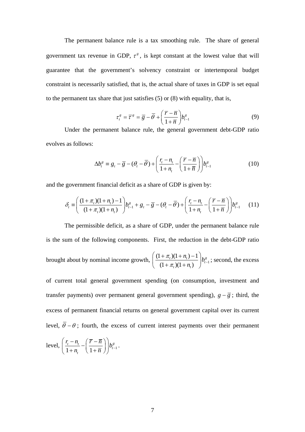The permanent balance rule is a tax smoothing rule. The share of general government tax revenue in GDP,  $\tau^s$ , is kept constant at the lowest value that will guarantee that the government's solvency constraint or intertemporal budget constraint is necessarily satisfied, that is, the actual share of taxes in GDP is set equal to the permanent tax share that just satisfies [\(5\)](#page-6-0) or [\(8\)](#page-7-0) with equality, that is,

<span id="page-8-1"></span><span id="page-8-0"></span>
$$
\tau_t^s = \overline{\tau}^s = \overline{g} - \overline{\theta} + \left(\frac{\overline{r} - \overline{n}}{1 + \overline{n}}\right) b_{t-1}^s \tag{9}
$$

Under the permanent balance rule, the general government debt-GDP ratio evolves as follows:

$$
\Delta b_t^s = g_t - \overline{g} - (\theta_t - \overline{\theta}) + \left(\frac{r_t - n_t}{1 + n_t} - \left(\frac{\overline{r} - \overline{n}}{1 + \overline{n}}\right)\right) b_{t-1}^s \tag{10}
$$

and the government financial deficit as a share of GDP is given by:

$$
\delta_t = \left( \frac{(1 + \pi_t)(1 + n_t) - 1}{(1 + \pi_t)(1 + n_t)} \right) b_{t-1}^s + g_t - \overline{g} - (\theta_t - \overline{\theta}) + \left( \frac{r_t - n_t}{1 + n_t} - \left( \frac{\overline{r} - \overline{n}}{1 + \overline{n}} \right) \right) b_{t-1}^s \tag{11}
$$

The permissible deficit, as a share of GDP, under the permanent balance rule is the sum of the following components. First, the reduction in the debt-GDP ratio brought about by nominal income growth,  $\left( \frac{(1 + \pi_t)(1 + n_t) - 1}{(1 + \pi_t)(1 + n_t)} \right) b_{t-1}^g$  $(1 + \pi)$ ,  $(1 + n)$  $\frac{t^{(t+1)} + t^{(t+1)} - 1}{t^{(t+1)} + t^{(t+1)} + t^{(t+1)} + t^{(t+1)} + t^{(t+1)} + t^{(t+1)}$  $t^{t}$  $\left(\frac{n_{t}}{b}\right) - 1\right]$ *n* π  $\left(\frac{(1+\pi_i)(1+n_i)-1}{(1+\pi_i)(1+n_i)}\right)b_i^s$  $\left( \frac{(1 + n_t)(1 + n_t)}{(1 + \pi_t)(1 + n_t)} \right) b_{t-1}^s$ ; second, the excess

of current total general government spending (on consumption, investment and transfer payments) over permanent general government spending),  $g - \overline{g}$ ; third, the excess of permanent financial returns on general government capital over its current level,  $\overline{\theta}$  −  $\theta$ ; fourth, the excess of current interest payments over their permanent

level, 
$$
\left(\frac{r_t - n_t}{1 + n_t} - \left(\frac{\overline{r} - \overline{n}}{1 + \overline{n}}\right)\right) b_{t-1}^s
$$
.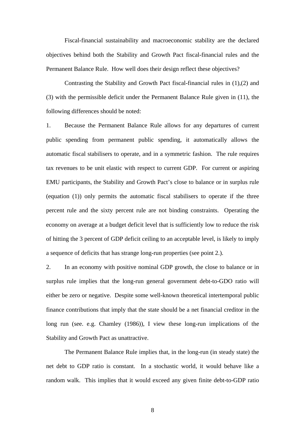Fiscal-financial sustainability and macroeconomic stability are the declared objectives behind both the Stability and Growth Pact fiscal-financial rules and the Permanent Balance Rule. How well does their design reflect these objectives?

Contrasting the Stability and Growth Pact fiscal-financial rules in [\(1\),](#page-6-1)[\(2\)](#page-6-2) and [\(3\)](#page-6-3) with the permissible deficit under the Permanent Balance Rule given in [\(11\),](#page-8-0) the following differences should be noted:

1. Because the Permanent Balance Rule allows for any departures of current public spending from permanent public spending, it automatically allows the automatic fiscal stabilisers to operate, and in a symmetric fashion. The rule requires tax revenues to be unit elastic with respect to current GDP. For current or aspiring EMU participants, the Stability and Growth Pact's close to balance or in surplus rule (equation [\(1\)\)](#page-6-1) only permits the automatic fiscal stabilisers to operate if the three percent rule and the sixty percent rule are not binding constraints. Operating the economy on average at a budget deficit level that is sufficiently low to reduce the risk of hitting the 3 percent of GDP deficit ceiling to an acceptable level, is likely to imply a sequence of deficits that has strange long-run properties (see point 2.).

2. In an economy with positive nominal GDP growth, the close to balance or in surplus rule implies that the long-run general government debt-to-GDO ratio will either be zero or negative. Despite some well-known theoretical intertemporal public finance contributions that imply that the state should be a net financial creditor in the long run (see. e.g. Chamley (1986)), I view these long-run implications of the Stability and Growth Pact as unattractive.

The Permanent Balance Rule implies that, in the long-run (in steady state) the net debt to GDP ratio is constant. In a stochastic world, it would behave like a random walk. This implies that it would exceed any given finite debt-to-GDP ratio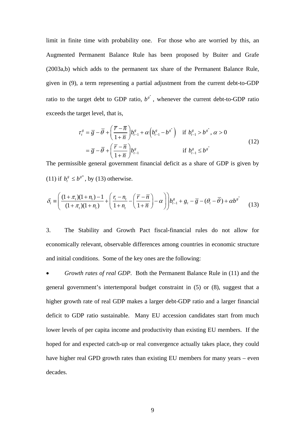limit in finite time with probability one. For those who are worried by this, an Augmented Permanent Balance Rule has been proposed by Buiter and Grafe (2003a,b) which adds to the permanent tax share of the Permanent Balance Rule, given in [\(9\),](#page-8-1) a term representing a partial adjustment from the current debt-to-GDP ratio to the target debt to GDP ratio,  $b^{g^*}$ , whenever the current debt-to-GDP ratio exceeds the target level, that is,

<span id="page-10-0"></span>
$$
\tau_t^g = \overline{g} - \overline{\theta} + \left(\frac{\overline{r} - \overline{n}}{1 + \overline{n}}\right) b_{t-1}^g + \alpha \left(b_{t-1}^g - b^{g^*}\right) \quad \text{if } b_{t-1}^g > b^{g^*}, \, \alpha > 0
$$
\n
$$
= \overline{g} - \overline{\theta} + \left(\frac{\overline{r} - \overline{n}}{1 + \overline{n}}\right) b_{t-1}^g \qquad \qquad \text{if } b_{t-1}^g \leq b^{g^*} \tag{12}
$$

The permissible general government financial deficit as a share of GDP is given by [\(11\)](#page-8-0) if  $b_i^g \le b^{g^*}$ , by [\(13\)](#page-10-0) otherwise.

$$
\delta_t \equiv \left( \frac{(1+\pi_t)(1+n_t)-1}{(1+\pi_t)(1+n_t)} + \left( \frac{r_t-n_t}{1+n_t} - \left( \frac{\overline{r} - \overline{n}}{1+\overline{n}} \right) - \alpha \right) \right) b_{t-1}^s + g_t - \overline{g} - (\theta_t - \overline{\theta}) + \alpha b^{s^*}
$$
(13)

3. The Stability and Growth Pact fiscal-financial rules do not allow for economically relevant, observable differences among countries in economic structure and initial conditions. Some of the key ones are the following:

• *Growth rates of real GDP*. Both the Permanent Balance Rule in [\(11\)](#page-8-0) and the general government's intertemporal budget constraint in [\(5\)](#page-6-0) or [\(8\),](#page-7-0) suggest that a higher growth rate of real GDP makes a larger debt-GDP ratio and a larger financial deficit to GDP ratio sustainable. Many EU accession candidates start from much lower levels of per capita income and productivity than existing EU members. If the hoped for and expected catch-up or real convergence actually takes place, they could have higher real GPD growth rates than existing EU members for many years – even decades.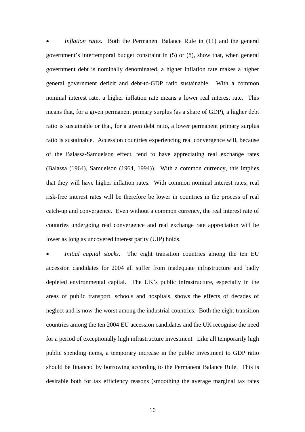• *Inflation rates*. Both the Permanent Balance Rule in [\(11\)](#page-8-0) and the general government's intertemporal budget constraint in [\(5\)](#page-6-0) or [\(8\),](#page-7-0) show that, when general government debt is nominally denominated, a higher inflation rate makes a higher general government deficit and debt-to-GDP ratio sustainable. With a common nominal interest rate, a higher inflation rate means a lower real interest rate. This means that, for a given permanent primary surplus (as a share of GDP), a higher debt ratio is sustainable or that, for a given debt ratio, a lower permanent primary surplus ratio is sustainable. Accession countries experiencing real convergence will, because of the Balassa-Samuelson effect, tend to have appreciating real exchange rates (Balassa (1964), Samuelson (1964, 1994)). With a common currency, this implies that they will have higher inflation rates. With common nominal interest rates, real risk-free interest rates will be therefore be lower in countries in the process of real catch-up and convergence. Even without a common currency, the real interest rate of countries undergoing real convergence and real exchange rate appreciation will be lower as long as uncovered interest parity (UIP) holds.

• *Initial capital stocks*. The eight transition countries among the ten EU accession candidates for 2004 all suffer from inadequate infrastructure and badly depleted environmental capital. The UK's public infrastructure, especially in the areas of public transport, schools and hospitals, shows the effects of decades of neglect and is now the worst among the industrial countries. Both the eight transition countries among the ten 2004 EU accession candidates and the UK recognise the need for a period of exceptionally high infrastructure investment. Like all temporarily high public spending items, a temporary increase in the public investment to GDP ratio should be financed by borrowing according to the Permanent Balance Rule. This is desirable both for tax efficiency reasons (smoothing the average marginal tax rates

10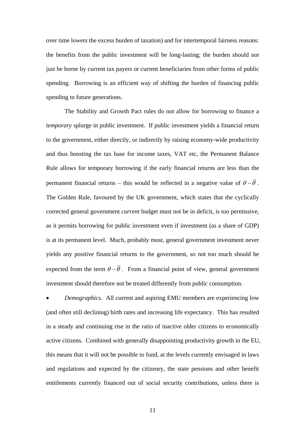over time lowers the excess burden of taxation) and for intertemporal fairness reasons: the benefits from the public investment will be long-lasting; the burden should not just be borne by current tax payers or current beneficiaries from other forms of public spending. Borrowing is an efficient way of shifting the burden of financing public spending to future generations.

The Stability and Growth Pact rules do not allow for borrowing to finance a *temporary* splurge in public investment. If public investment yields a financial return to the government, either directly, or indirectly by raising economy-wide productivity and thus boosting the tax base for income taxes, VAT etc, the Permanent Balance Rule allows for temporary borrowing if the early financial returns are less than the permanent financial returns – this would be reflected in a negative value of  $\theta - \overline{\theta}$ . The Golden Rule, favoured by the UK government, which states that the cyclically corrected general government *current* budget must not be in deficit, is too permissive, as it permits borrowing for public investment even if investment (as a share of GDP) is at its permanent level. Much, probably most, general government investment never yields any positive financial returns to the government, so not too much should be expected from the term  $\theta - \overline{\theta}$ . From a financial point of view, general government investment should therefore not be treated differently from public consumption.

• *Demographics*.All current and aspiring EMU members are experiencing low (and often still declining) birth rates and increasing life expectancy. This has resulted in a steady and continuing rise in the ratio of inactive older citizens to economically active citizens. Combined with generally disappointing productivity growth in the EU, this means that it will not be possible to fund, at the levels currently envisaged in laws and regulations and expected by the citizenry, the state pensions and other benefit entitlements currently financed out of social security contributions, unless there is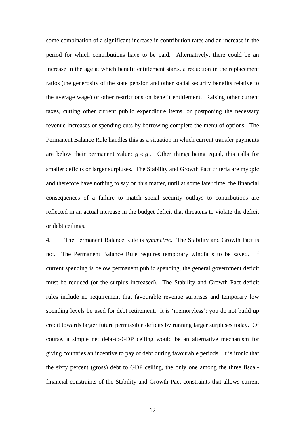some combination of a significant increase in contribution rates and an increase in the period for which contributions have to be paid. Alternatively, there could be an increase in the age at which benefit entitlement starts, a reduction in the replacement ratios (the generosity of the state pension and other social security benefits relative to the average wage) or other restrictions on benefit entitlement. Raising other current taxes, cutting other current public expenditure items, or postponing the necessary revenue increases or spending cuts by borrowing complete the menu of options. The Permanent Balance Rule handles this as a situation in which current transfer payments are below their permanent value:  $g < \overline{g}$ . Other things being equal, this calls for smaller deficits or larger surpluses. The Stability and Growth Pact criteria are myopic and therefore have nothing to say on this matter, until at some later time, the financial consequences of a failure to match social security outlays to contributions are reflected in an actual increase in the budget deficit that threatens to violate the deficit or debt ceilings.

4. The Permanent Balance Rule is *symmetric*. The Stability and Growth Pact is not. The Permanent Balance Rule requires temporary windfalls to be saved. If current spending is below permanent public spending, the general government deficit must be reduced (or the surplus increased). The Stability and Growth Pact deficit rules include no requirement that favourable revenue surprises and temporary low spending levels be used for debt retirement. It is 'memoryless': you do not build up credit towards larger future permissible deficits by running larger surpluses today. Of course, a simple net debt-to-GDP ceiling would be an alternative mechanism for giving countries an incentive to pay of debt during favourable periods. It is ironic that the sixty percent (gross) debt to GDP ceiling, the only one among the three fiscalfinancial constraints of the Stability and Growth Pact constraints that allows current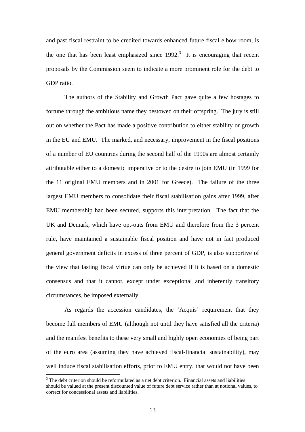and past fiscal restraint to be credited towards enhanced future fiscal elbow room, is theone that has been least emphasized since  $1992$ <sup>3</sup>. It is encouraging that recent proposals by the Commission seem to indicate a more prominent role for the debt to GDP ratio.

The authors of the Stability and Growth Pact gave quite a few hostages to fortune through the ambitious name they bestowed on their offspring. The jury is still out on whether the Pact has made a positive contribution to either stability or growth in the EU and EMU. The marked, and necessary, improvement in the fiscal positions of a number of EU countries during the second half of the 1990s are almost certainly attributable either to a domestic imperative or to the desire to join EMU (in 1999 for the 11 original EMU members and in 2001 for Greece). The failure of the three largest EMU members to consolidate their fiscal stabilisation gains after 1999, after EMU membership had been secured, supports this interpretation. The fact that the UK and Demark, which have opt-outs from EMU and therefore from the 3 percent rule, have maintained a sustainable fiscal position and have not in fact produced general government deficits in excess of three percent of GDP, is also supportive of the view that lasting fiscal virtue can only be achieved if it is based on a domestic consensus and that it cannot, except under exceptional and inherently transitory circumstances, be imposed externally.

As regards the accession candidates, the 'Acquis' requirement that they become full members of EMU (although not until they have satisfied all the criteria) and the manifest benefits to these very small and highly open economies of being part of the euro area (assuming they have achieved fiscal-financial sustainability), may well induce fiscal stabilisation efforts, prior to EMU entry, that would not have been

<span id="page-14-0"></span><sup>&</sup>lt;sup>2</sup><br>3 <sup>3</sup> The debt criterion should be reformulated as a net debt criterion. Financial assets and liabilities should be valued at the present discounted value of future debt service rather than at notional values, to correct for concessional assets and liabilities.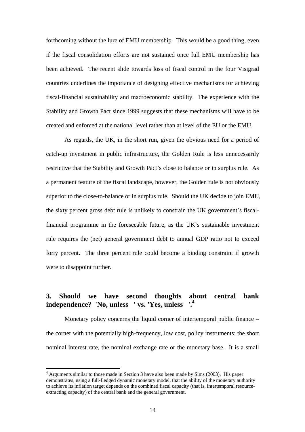forthcoming without the lure of EMU membership. This would be a good thing, even if the fiscal consolidation efforts are not sustained once full EMU membership has been achieved. The recent slide towards loss of fiscal control in the four Visigrad countries underlines the importance of designing effective mechanisms for achieving fiscal-financial sustainability and macroeconomic stability. The experience with the Stability and Growth Pact since 1999 suggests that these mechanisms will have to be created and enforced at the national level rather than at level of the EU or the EMU.

As regards, the UK, in the short run, given the obvious need for a period of catch-up investment in public infrastructure, the Golden Rule is less unnecessarily restrictive that the Stability and Growth Pact's close to balance or in surplus rule. As a permanent feature of the fiscal landscape, however, the Golden rule is not obviously superior to the close-to-balance or in surplus rule. Should the UK decide to join EMU, the sixty percent gross debt rule is unlikely to constrain the UK government's fiscalfinancial programme in the foreseeable future, as the UK's sustainable investment rule requires the (net) general government debt to annual GDP ratio not to exceed forty percent. The three percent rule could become a binding constraint if growth were to disappoint further.

## **3. Should we have second thoughts about central bank independence? 'No, unless ' vs. 'Yes, unless '.[4](#page-15-0)**

Monetary policy concerns the liquid corner of intertemporal public finance – the corner with the potentially high-frequency, low cost, policy instruments: the short nominal interest rate, the nominal exchange rate or the monetary base. It is a small

<span id="page-15-0"></span> $\frac{1}{4}$  $4$  Arguments similar to those made in Section 3 have also been made by Sims (2003). His paper demonstrates, using a full-fledged dynamic monetary model, that the ability of the monetary authority to achieve its inflation target depends on the combined fiscal capacity (that is, intertemporal resourceextracting capacity) of the central bank and the general government.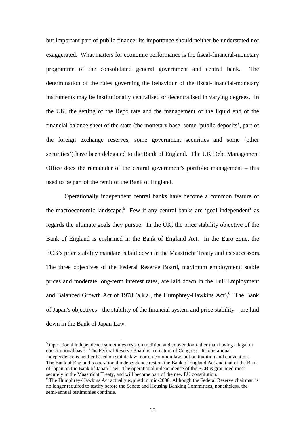but important part of public finance; its importance should neither be understated nor exaggerated. What matters for economic performance is the fiscal-financial-monetary programme of the consolidated general government and central bank. The determination of the rules governing the behaviour of the fiscal-financial-monetary instruments may be institutionally centralised or decentralised in varying degrees. In the UK, the setting of the Repo rate and the management of the liquid end of the financial balance sheet of the state (the monetary base, some 'public deposits', part of the foreign exchange reserves, some government securities and some 'other securities') have been delegated to the Bank of England. The UK Debt Management Office does the remainder of the central government's portfolio management – this used to be part of the remit of the Bank of England.

Operationally independent central banks have become a common feature of the macroeconomic landscape.<sup>5</sup> Few if any central banks are 'goal independent' as regards the ultimate goals they pursue. In the UK, the price stability objective of the Bank of England is enshrined in the Bank of England Act. In the Euro zone, the ECB's price stability mandate is laid down in the Maastricht Treaty and its successors. The three objectives of the Federal Reserve Board, maximum employment, stable prices and moderate long-term interest rates, are laid down in the Full Employment and Balanced Growth Act of 1978 (a.k.a., the Humphrey-Hawkins Act). <sup>[6](#page-16-1)</sup> The Bank of Japan's objectives - the stability of the financial system and price stability – are laid down in the Bank of Japan Law.

<span id="page-16-0"></span> <sup>5</sup>  $<sup>5</sup>$  Operational independence sometimes rests on tradition and convention rather than having a legal or</sup> constitutional basis. The Federal Reserve Board is a creature of Congress. Its operational independence is neither based on statute law, nor on common law, but on tradition and convention. The Bank of England's operational independence rest on the Bank of England Act and that of the Bank of Japan on the Bank of Japan Law. The operational independence of the ECB is grounded most securely in the Maastricht Treaty, and will become part of the new EU constitution.

<span id="page-16-1"></span><sup>&</sup>lt;sup>6</sup> The Humphrey-Hawkins Act actually expired in mid-2000. Although the Federal Reserve chairman is no longer required to testify before the Senate and Housing Banking Committees, nonetheless, the semi-annual testimonies continue.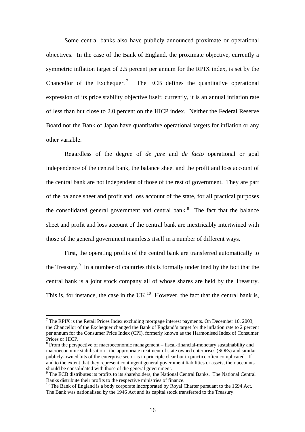Some central banks also have publicly announced proximate or operational objectives. In the case of the Bank of England, the proximate objective, currently a symmetric inflation target of 2.5 percent per annum for the RPIX index, is set by the Chancellor of the Exchequer.<sup>7</sup> The ECB defines the quantitative operational expression of its price stability objective itself; currently, it is an annual inflation rate of less than but close to 2.0 percent on the HICP index. Neither the Federal Reserve Board nor the Bank of Japan have quantitative operational targets for inflation or any other variable.

Regardless of the degree of *de jure* and *de facto* operational or goal independence of the central bank, the balance sheet and the profit and loss account of the central bank are not independent of those of the rest of government. They are part of the balance sheet and profit and loss account of the state, for all practical purposes theconsolidated general government and central bank.<sup>8</sup> The fact that the balance sheet and profit and loss account of the central bank are inextricably intertwined with those of the general government manifests itself in a number of different ways.

First, the operating profits of the central bank are transferred automatically to the Treasury.<sup>[9](#page-17-2)</sup> In a number of countries this is formally underlined by the fact that the central bank is a joint stock company all of whose shares are held by the Treasury. This is, for instance, the case in the UK. $^{10}$  However, the fact that the central bank is,

<span id="page-17-0"></span><sup>-&</sup>lt;br>7  $\frac{7}{1}$  The RPIX is the Retail Prices Index excluding mortgage interest payments. On December 10, 2003, the Chancellor of the Exchequer changed the Bank of England's target for the inflation rate to 2 percent per annum for the Consumer Price Index (CPI), formerly known as the Harmonised Index of Consumer Prices or HICP.

<span id="page-17-1"></span> $8$  From the perspective of macroeconomic management – fiscal-financial-monetary sustainability and macroeconomic stabilisation - the appropriate treatment of state owned enterprises (SOEs) and similar publicly-owned bits of the enterprise sector is in principle clear but in practice often complicated. If and to the extent that they represent contingent general government liabilities or assets, their accounts should be consolidated with those of the general government.

<span id="page-17-2"></span><sup>&</sup>lt;sup>9</sup> The ECB distributes its profits to its shareholders, the National Central Banks. The National Central Banks distribute their profits to the respective ministries of finance.<br><sup>10</sup> The Bank of England is a body corporate incorporated by Royal Charter pursuant to the 1694 Act.

<span id="page-17-3"></span>The Bank was nationalised by the 1946 Act and its capital stock transferred to the Treasury.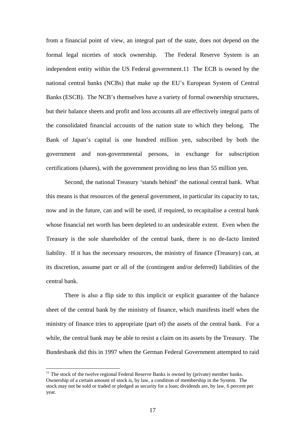from a financial point of view, an integral part of the state, does not depend on the formal legal niceties of stock ownership. The Federal Reserve System is an independent entity within the US Federal government[.11](#page-18-0) The ECB is owned by the national central banks (NCBs) that make up the EU's European System of Central Banks (ESCB). The NCB's themselves have a variety of formal ownership structures, but their balance sheets and profit and loss accounts all are effectively integral parts of the consolidated financial accounts of the nation state to which they belong. The Bank of Japan's capital is one hundred million yen, subscribed by both the government and non-governmental persons, in exchange for subscription certifications (shares), with the government providing no less than 55 million yen.

Second, the national Treasury 'stands behind' the national central bank. What this means is that resources of the general government, in particular its capacity to tax, now and in the future, can and will be used, if required, to recapitalise a central bank whose financial net worth has been depleted to an undesirable extent. Even when the Treasury is the sole shareholder of the central bank, there is no de-facto limited liability. If it has the necessary resources, the ministry of finance (Treasury) can, at its discretion, assume part or all of the (contingent and/or deferred) liabilities of the central bank.

There is also a flip side to this implicit or explicit guarantee of the balance sheet of the central bank by the ministry of finance, which manifests itself when the ministry of finance tries to appropriate (part of) the assets of the central bank. For a while, the central bank may be able to resist a claim on its assets by the Treasury. The Bundesbank did this in 1997 when the German Federal Government attempted to raid

<span id="page-18-0"></span> $11$  The stock of the twelve regional Federal Reserve Banks is owned by (private) member banks. Ownership of a certain amount of stock is, by law, a condition of membership in the System. The stock may not be sold or traded or pledged as security for a loan; dividends are, by law, 6 percent per year.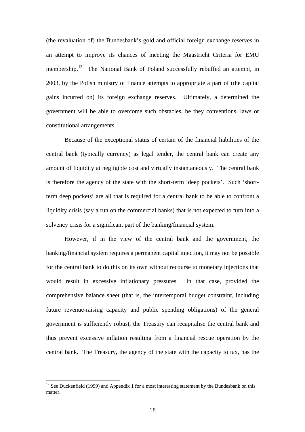(the revaluation of) the Bundesbank's gold and official foreign exchange reserves in an attempt to improve its chances of meeting the Maastricht Criteria for EMU membership.<sup>12</sup> The National Bank of Poland successfully rebuffed an attempt, in 2003, by the Polish ministry of finance attempts to appropriate a part of (the capital gains incurred on) its foreign exchange reserves. Ultimately, a determined the government will be able to overcome such obstacles, be they conventions, laws or constitutional arrangements.

Because of the exceptional status of certain of the financial liabilities of the central bank (typically currency) as legal tender, the central bank can create any amount of liquidity at negligible cost and virtually instantaneously. The central bank is therefore the agency of the state with the short-term 'deep pockets'. Such 'shortterm deep pockets' are all that is required for a central bank to be able to confront a liquidity crisis (say a run on the commercial banks) that is not expected to turn into a solvency crisis for a significant part of the banking/financial system.

However, if in the view of the central bank and the government, the banking/financial system requires a permanent capital injection, it may not be possible for the central bank to do this on its own without recourse to monetary injections that would result in excessive inflationary pressures. In that case, provided the comprehensive balance sheet (that is, the intertemporal budget constraint, including future revenue-raising capacity and public spending obligations) of the general government is sufficiently robust, the Treasury can recapitalise the central bank and thus prevent excessive inflation resulting from a financial rescue operation by the central bank. The Treasury, the agency of the state with the capacity to tax, has the

<span id="page-19-0"></span><sup>&</sup>lt;sup>12</sup> See Duckenfield (1999) and Appendix 1 for a most interesting statement by the Bundesbank on this matter.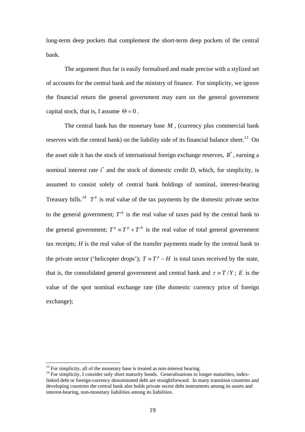long-term deep pockets that complement the short-term deep pockets of the central bank.

The argument thus far is easily formalised and made precise with a stylized set of accounts for the central bank and the ministry of finance. For simplicity, we ignore the financial return the general government may earn on the general government capital stock, that is, I assume  $\Theta = 0$ .

The central bank has the monetary base *M ,* (currency plus commercial bank reserves with the central bank) on the liability side of its financial balance sheet.<sup>13</sup> On the asset side it has the stock of international foreign exchange reserves,  $R^*$ , earning a nominal interest rate  $i^*$  and the stock of domestic credit *D*, which, for simplicity, is assumed to consist solely of central bank holdings of nominal, interest-bearing Treasury bills.<sup>14</sup>  $T<sup>P</sup>$  is real value of the tax payments by the domestic private sector to the general government;  $T^{cb}$  is the real value of taxes paid by the central bank to the general government;  $T^s = T^p + T^{cb}$  is the real value of total general government tax receipts; *H* is the real value of the transfer payments made by the central bank to the private sector ('helicopter drops');  $T = T^p - H$  is total taxes received by the state, that is, the consolidated general government and central bank and  $\tau = T/Y$ ; *E* is the value of the spot nominal exchange rate (the domestic currency price of foreign exchange);

<span id="page-20-1"></span><span id="page-20-0"></span>

 $13$  For simplicity, all of the monetary base is treated as non-interest bearing.<br> $14$  For simplicity, I consider only short maturity bonds. Generalisations to longer maturities, indexlinked debt or foreign-currency denominated debt are straightforward. In many transition countries and developing countries the central bank also holds private sector debt instruments among its assets and interest-bearing, non-monetary liabilities among its liabilities.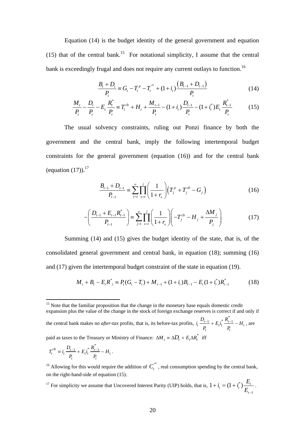Equation [\(14\)](#page-21-0) is the budget identity of the general government and equation [\(15\)](#page-21-1) that of the central bank.<sup>15</sup> For notational simplicity, I assume that the central bank is exceedingly frugal and does not require any current outlays to function.<sup>[16](#page-21-6)</sup>

<span id="page-21-1"></span><span id="page-21-0"></span>
$$
\frac{B_t + D_t}{P_t} \equiv G_t - T_t^p - T_t^{e^b} + (1 + i_t) \frac{(B_{t-1} + D_{t-1})}{P_t}
$$
(14)

$$
\frac{M_t}{P_t} - \frac{D_t}{P_t} - E_t \frac{R_t^*}{P_t} = T_t^{cb} + H_t + \frac{M_{t-1}}{P_t} - (1 + i_t) \frac{D_{t-1}}{P_t} - (1 + i_t^*) E_t \frac{R_{t-1}^*}{P_t}
$$
(15)

The usual solvency constraints, ruling out Ponzi finance by both the government and the central bank, imply the following intertemporal budget constraints for the general government (equation [\(16\)\)](#page-21-2) and for the central bank (equation  $(17)$  $(17)$  $(17)$ ).<sup>17</sup>

<span id="page-21-3"></span><span id="page-21-2"></span>
$$
\frac{B_{t-1} + D_{t-1}}{P_{t-1}} = \sum_{j=t}^{\infty} \prod_{s=t}^{j} \left( \frac{1}{1+r_s} \right) \left( T_j^p + T_j^{cb} - G_j \right)
$$
(16)

$$
-\left(\frac{D_{t-1} + E_{t-1}R_{t-1}^*}{P_{t-1}}\right) \equiv \sum_{j=t}^{\infty} \prod_{s=t}^{j} \left(\frac{1}{1+r_s}\right) \left(-T_j^{cb} - H_j + \frac{\Delta M_j}{P_j}\right)
$$
(17)

Summing [\(14\)](#page-21-0) and [\(15\)](#page-21-1) gives the budget identity of the state, that is, of the consolidated general government and central bank, in equation [\(18\);](#page-21-4) summing [\(16\)](#page-21-2) and [\(17\)](#page-21-3) given the intertemporal budget constraint of the state in equation [\(19\).](#page-22-0)

<span id="page-21-4"></span>
$$
M_t + B_t - E_t R^* = P_t (G_t - T_t) + M_{t-1} + (1 + i_t) B_{t-1} - E_t (1 + i_t^*) R^*_{t-1}
$$
(18)

<span id="page-21-5"></span> $15$  Note that the familiar proposition that the change in the monetary base equals domestic credit expansion plus the value of the change in the stock of foreign exchange reserves is correct if and only if the central bank makes no *after-tax* profits, that is, its before-tax profits,  $\frac{D_{t-1}}{D} + E_t i_t^* \frac{R_{t-1}^*}{D}$  $t$   $\frac{1}{t}$  $i_{t} \frac{D_{t-1}}{T} + E_{t} i_{t}^* \frac{R}{T}$  $\frac{P_{t-1}}{P_t} + E_t i_t^* \frac{R_{t-1}}{P_t} - H_t$ , are paid as taxes to the Treasury or Ministry of Finance:  $\Delta M_t \equiv \Delta D_t + E_t \Delta R_t^*$  iff

$$
T_t^{cb} = i_t \frac{D_{t-1}}{P_t} + E_t i_t^* \frac{R_{t-1}^*}{P_t} - H_t.
$$

<span id="page-21-6"></span><sup>16</sup> Allowing for this would require the addition of  $C_t^{\phi}$ , real consumption spending by the central bank, on the right-hand-side of equation (15).

<span id="page-21-7"></span><sup>17</sup> For simplicity we assume that Uncovered Interest Parity (UIP) holds, that is,  $1 + i = (1 + i^*)$ 1  $1 + i_t = (1 + i_t^*) \frac{L_t}{R}$ *t*  $i_{t} = (1 + i_{t}^{*}) \frac{E}{I}$  $E_{t-}$  $+i_{i} = (1 + i_{i}^{*}) \frac{L_{t}}{2}$ .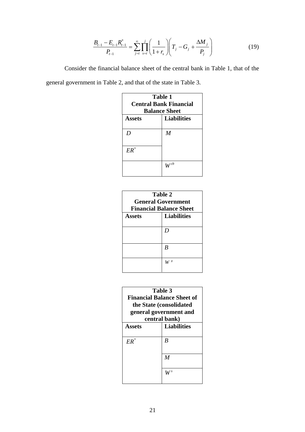$$
\frac{B_{t-1} - E_{t-1}R_{t-1}^*}{P_{t-1}} = \sum_{j=t}^{\infty} \prod_{s=t}^{j} \left( \frac{1}{1+r_s} \right) \left( T_j - G_j + \frac{\Delta M_j}{P_j} \right)
$$
(19)

Consider the financial balance sheet of the central bank in Table 1, that of the general government in Table 2, and that of the state in Table 3.

<span id="page-22-0"></span>

| Table 1<br><b>Central Bank Financial</b><br><b>Balance Sheet</b> |                    |  |
|------------------------------------------------------------------|--------------------|--|
| Assets                                                           | <b>Liabilities</b> |  |
| D                                                                | $\boldsymbol{M}$   |  |
| $ER^*$                                                           |                    |  |
|                                                                  | $W^{cb}$           |  |

| Table 2<br><b>General Government</b><br><b>Financial Balance Sheet</b> |                    |
|------------------------------------------------------------------------|--------------------|
| Assets                                                                 | <b>Liabilities</b> |
|                                                                        | D                  |
|                                                                        |                    |
|                                                                        | B                  |
|                                                                        | $W^s$              |

| Table 3                           |                    |  |
|-----------------------------------|--------------------|--|
| <b>Financial Balance Sheet of</b> |                    |  |
| the State (consolidated           |                    |  |
| general government and            |                    |  |
| central bank)                     |                    |  |
| <b>Assets</b>                     | <b>Liabilities</b> |  |
|                                   |                    |  |
| $\overline{F}R^*$                 | B                  |  |
|                                   |                    |  |
|                                   | $\boldsymbol{M}$   |  |
|                                   |                    |  |
|                                   |                    |  |
|                                   |                    |  |
|                                   |                    |  |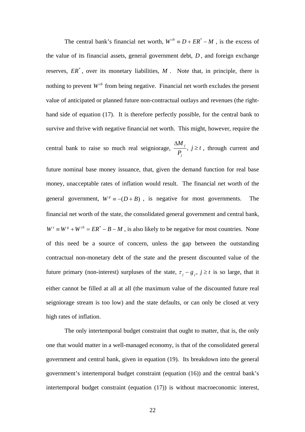The central bank's financial net worth,  $W^{cb} = D + ER^* - M$ , is the excess of the value of its financial assets, general government debt, *D* , and foreign exchange reserves,  $ER^*$ , over its monetary liabilities,  $M$ . Note that, in principle, there is nothing to prevent  $W^{cb}$  from being negative. Financial net worth excludes the present value of anticipated or planned future non-contractual outlays and revenues (the righthand side of equation [\(17\).](#page-21-3) It is therefore perfectly possible, for the central bank to survive and thrive with negative financial net worth. This might, however, require the central bank to raise so much real seigniorage,  $\frac{\Delta u_i}{\Delta x_i}$ , *j M*  $j \geq t$ *P* ∆  $\geq t$ , through current and future nominal base money issuance, that, given the demand function for real base money, unacceptable rates of inflation would result. The financial net worth of the general government,  $W^g = -(D + B)$ , is negative for most governments. The financial net worth of the state, the consolidated general government and central bank,  $W^s \equiv W^g + W^{cb} = ER^* - B - M$ , is also likely to be negative for most countries. None of this need be a source of concern, unless the gap between the outstanding contractual non-monetary debt of the state and the present discounted value of the future primary (non-interest) surpluses of the state,  $\tau_j - g_j$ ,  $j \ge t$  is so large, that it

either cannot be filled at all at all (the maximum value of the discounted future real seigniorage stream is too low) and the state defaults, or can only be closed at very high rates of inflation.

The only intertemporal budget constraint that ought to matter, that is, the only one that would matter in a well-managed economy, is that of the consolidated general government and central bank, given in equation [\(19\).](#page-22-0) Its breakdown into the general government's intertemporal budget constraint (equation [\(16\)\)](#page-21-2) and the central bank's intertemporal budget constraint (equation [\(17\)\)](#page-21-3) is without macroeconomic interest,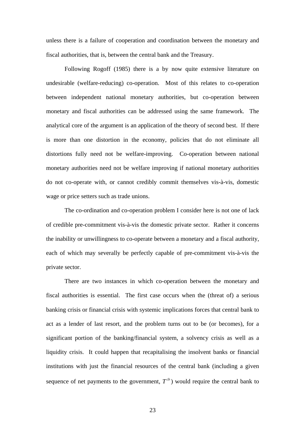unless there is a failure of cooperation and coordination between the monetary and fiscal authorities, that is, between the central bank and the Treasury.

Following Rogoff (1985) there is a by now quite extensive literature on undesirable (welfare-reducing) co-operation. Most of this relates to co-operation between independent national monetary authorities, but co-operation between monetary and fiscal authorities can be addressed using the same framework. The analytical core of the argument is an application of the theory of second best. If there is more than one distortion in the economy, policies that do not eliminate all distortions fully need not be welfare-improving. Co-operation between national monetary authorities need not be welfare improving if national monetary authorities do not co-operate with, or cannot credibly commit themselves vis-à-vis, domestic wage or price setters such as trade unions.

The co-ordination and co-operation problem I consider here is not one of lack of credible pre-commitment vis-à-vis the domestic private sector. Rather it concerns the inability or unwillingness to co-operate between a monetary and a fiscal authority, each of which may severally be perfectly capable of pre-commitment vis-à-vis the private sector.

There are two instances in which co-operation between the monetary and fiscal authorities is essential. The first case occurs when the (threat of) a serious banking crisis or financial crisis with systemic implications forces that central bank to act as a lender of last resort, and the problem turns out to be (or becomes), for a significant portion of the banking/financial system, a solvency crisis as well as a liquidity crisis. It could happen that recapitalising the insolvent banks or financial institutions with just the financial resources of the central bank (including a given sequence of net payments to the government,  $T^{cb}$ ) would require the central bank to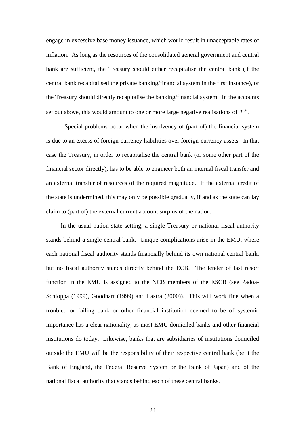engage in excessive base money issuance, which would result in unacceptable rates of inflation. As long as the resources of the consolidated general government and central bank are sufficient, the Treasury should either recapitalise the central bank (if the central bank recapitalised the private banking/financial system in the first instance), or the Treasury should directly recapitalise the banking/financial system. In the accounts set out above, this would amount to one or more large negative realisations of  $T^{cb}$ .

Special problems occur when the insolvency of (part of) the financial system is due to an excess of foreign-currency liabilities over foreign-currency assets. In that case the Treasury, in order to recapitalise the central bank (or some other part of the financial sector directly), has to be able to engineer both an internal fiscal transfer and an external transfer of resources of the required magnitude. If the external credit of the state is undermined, this may only be possible gradually, if and as the state can lay claim to (part of) the external current account surplus of the nation.

In the usual nation state setting, a single Treasury or national fiscal authority stands behind a single central bank. Unique complications arise in the EMU, where each national fiscal authority stands financially behind its own national central bank, but no fiscal authority stands directly behind the ECB. The lender of last resort function in the EMU is assigned to the NCB members of the ESCB (see Padoa-Schioppa (1999), Goodhart (1999) and Lastra (2000)). This will work fine when a troubled or failing bank or other financial institution deemed to be of systemic importance has a clear nationality, as most EMU domiciled banks and other financial institutions do today. Likewise, banks that are subsidiaries of institutions domiciled outside the EMU will be the responsibility of their respective central bank (be it the Bank of England, the Federal Reserve System or the Bank of Japan) and of the national fiscal authority that stands behind each of these central banks.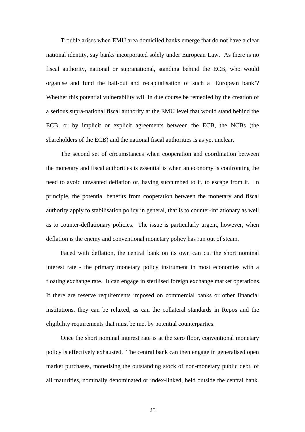Trouble arises when EMU area domiciled banks emerge that do not have a clear national identity, say banks incorporated solely under European Law. As there is no fiscal authority, national or supranational, standing behind the ECB, who would organise and fund the bail-out and recapitalisation of such a 'European bank'? Whether this potential vulnerability will in due course be remedied by the creation of a serious supra-national fiscal authority at the EMU level that would stand behind the ECB, or by implicit or explicit agreements between the ECB, the NCBs (the shareholders of the ECB) and the national fiscal authorities is as yet unclear.

The second set of circumstances when cooperation and coordination between the monetary and fiscal authorities is essential is when an economy is confronting the need to avoid unwanted deflation or, having succumbed to it, to escape from it. In principle, the potential benefits from cooperation between the monetary and fiscal authority apply to stabilisation policy in general, that is to counter-inflationary as well as to counter-deflationary policies. The issue is particularly urgent, however, when deflation is the enemy and conventional monetary policy has run out of steam.

Faced with deflation, the central bank on its own can cut the short nominal interest rate - the primary monetary policy instrument in most economies with a floating exchange rate. It can engage in sterilised foreign exchange market operations. If there are reserve requirements imposed on commercial banks or other financial institutions, they can be relaxed, as can the collateral standards in Repos and the eligibility requirements that must be met by potential counterparties.

Once the short nominal interest rate is at the zero floor, conventional monetary policy is effectively exhausted. The central bank can then engage in generalised open market purchases, monetising the outstanding stock of non-monetary public debt, of all maturities, nominally denominated or index-linked, held outside the central bank.

25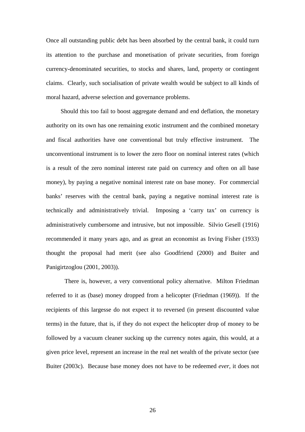Once all outstanding public debt has been absorbed by the central bank, it could turn its attention to the purchase and monetisation of private securities, from foreign currency-denominated securities, to stocks and shares, land, property or contingent claims. Clearly, such socialisation of private wealth would be subject to all kinds of moral hazard, adverse selection and governance problems.

Should this too fail to boost aggregate demand and end deflation, the monetary authority on its own has one remaining exotic instrument and the combined monetary and fiscal authorities have one conventional but truly effective instrument. The unconventional instrument is to lower the zero floor on nominal interest rates (which is a result of the zero nominal interest rate paid on currency and often on all base money), by paying a negative nominal interest rate on base money. For commercial banks' reserves with the central bank, paying a negative nominal interest rate is technically and administratively trivial. Imposing a 'carry tax' on currency is administratively cumbersome and intrusive, but not impossible. Silvio Gesell (1916) recommended it many years ago, and as great an economist as Irving Fisher (1933) thought the proposal had merit (see also Goodfriend (2000) and Buiter and Panigirtzoglou (2001, 2003)).

There is, however, a very conventional policy alternative. Milton Friedman referred to it as (base) money dropped from a helicopter (Friedman (1969)). If the recipients of this largesse do not expect it to reversed (in present discounted value terms) in the future, that is, if they do not expect the helicopter drop of money to be followed by a vacuum cleaner sucking up the currency notes again, this would, at a given price level, represent an increase in the real net wealth of the private sector (see Buiter (2003c). Because base money does not have to be redeemed *ever*, it does not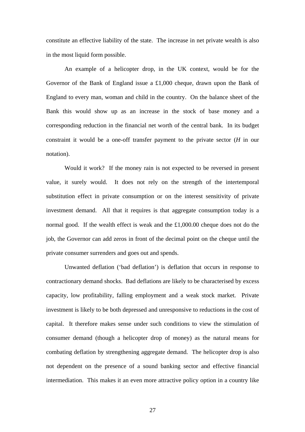constitute an effective liability of the state. The increase in net private wealth is also in the most liquid form possible.

An example of a helicopter drop, in the UK context, would be for the Governor of the Bank of England issue a £1,000 cheque, drawn upon the Bank of England to every man, woman and child in the country. On the balance sheet of the Bank this would show up as an increase in the stock of base money and a corresponding reduction in the financial net worth of the central bank. In its budget constraint it would be a one-off transfer payment to the private sector (*H* in our notation).

Would it work? If the money rain is not expected to be reversed in present value, it surely would. It does not rely on the strength of the intertemporal substitution effect in private consumption or on the interest sensitivity of private investment demand. All that it requires is that aggregate consumption today is a normal good. If the wealth effect is weak and the £1,000.00 cheque does not do the job, the Governor can add zeros in front of the decimal point on the cheque until the private consumer surrenders and goes out and spends.

Unwanted deflation ('bad deflation') is deflation that occurs in response to contractionary demand shocks. Bad deflations are likely to be characterised by excess capacity, low profitability, falling employment and a weak stock market. Private investment is likely to be both depressed and unresponsive to reductions in the cost of capital. It therefore makes sense under such conditions to view the stimulation of consumer demand (though a helicopter drop of money) as the natural means for combating deflation by strengthening aggregate demand. The helicopter drop is also not dependent on the presence of a sound banking sector and effective financial intermediation. This makes it an even more attractive policy option in a country like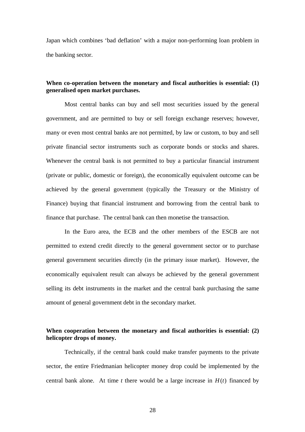Japan which combines 'bad deflation' with a major non-performing loan problem in the banking sector.

### **When co-operation between the monetary and fiscal authorities is essential: (1) generalised open market purchases.**

Most central banks can buy and sell most securities issued by the general government, and are permitted to buy or sell foreign exchange reserves; however, many or even most central banks are not permitted, by law or custom, to buy and sell private financial sector instruments such as corporate bonds or stocks and shares. Whenever the central bank is not permitted to buy a particular financial instrument (private or public, domestic or foreign), the economically equivalent outcome can be achieved by the general government (typically the Treasury or the Ministry of Finance) buying that financial instrument and borrowing from the central bank to finance that purchase. The central bank can then monetise the transaction.

In the Euro area, the ECB and the other members of the ESCB are not permitted to extend credit directly to the general government sector or to purchase general government securities directly (in the primary issue market). However, the economically equivalent result can always be achieved by the general government selling its debt instruments in the market and the central bank purchasing the same amount of general government debt in the secondary market.

#### **When cooperation between the monetary and fiscal authorities is essential: (2) helicopter drops of money.**

Technically, if the central bank could make transfer payments to the private sector, the entire Friedmanian helicopter money drop could be implemented by the central bank alone. At time *t* there would be a large increase in  $H(t)$  financed by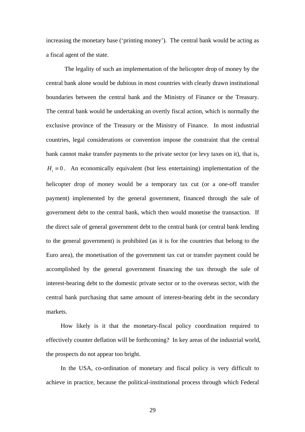increasing the monetary base ('printing money'). The central bank would be acting as a fiscal agent of the state.

The legality of such an implementation of the helicopter drop of money by the central bank alone would be dubious in most countries with clearly drawn institutional boundaries between the central bank and the Ministry of Finance or the Treasury. The central bank would be undertaking an overtly fiscal action, which is normally the exclusive province of the Treasury or the Ministry of Finance. In most industrial countries, legal considerations or convention impose the constraint that the central bank cannot make transfer payments to the private sector (or levy taxes on it), that is,  $H_t \equiv 0$ . An economically equivalent (but less entertaining) implementation of the helicopter drop of money would be a temporary tax cut (or a one-off transfer payment) implemented by the general government, financed through the sale of government debt to the central bank, which then would monetise the transaction. If the direct sale of general government debt to the central bank (or central bank lending to the general government) is prohibited (as it is for the countries that belong to the Euro area), the monetisation of the government tax cut or transfer payment could be accomplished by the general government financing the tax through the sale of interest-bearing debt to the domestic private sector or to the overseas sector, with the central bank purchasing that same amount of interest-bearing debt in the secondary markets.

How likely is it that the monetary-fiscal policy coordination required to effectively counter deflation will be forthcoming? In key areas of the industrial world, the prospects do not appear too bright.

In the USA, co-ordination of monetary and fiscal policy is very difficult to achieve in practice, because the political-institutional process through which Federal

29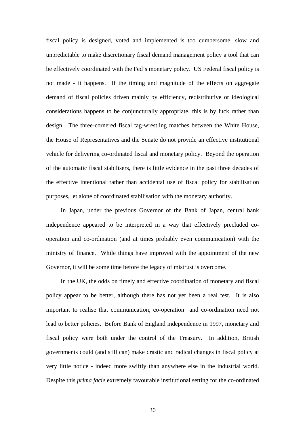fiscal policy is designed, voted and implemented is too cumbersome, slow and unpredictable to make discretionary fiscal demand management policy a tool that can be effectively coordinated with the Fed's monetary policy. US Federal fiscal policy is not made - it happens. If the timing and magnitude of the effects on aggregate demand of fiscal policies driven mainly by efficiency, redistributive or ideological considerations happens to be conjuncturally appropriate, this is by luck rather than design. The three-cornered fiscal tag-wrestling matches between the White House, the House of Representatives and the Senate do not provide an effective institutional vehicle for delivering co-ordinated fiscal and monetary policy. Beyond the operation of the automatic fiscal stabilisers, there is little evidence in the past three decades of the effective intentional rather than accidental use of fiscal policy for stabilisation purposes, let alone of coordinated stabilisation with the monetary authority.

In Japan, under the previous Governor of the Bank of Japan, central bank independence appeared to be interpreted in a way that effectively precluded cooperation and co-ordination (and at times probably even communication) with the ministry of finance. While things have improved with the appointment of the new Governor, it will be some time before the legacy of mistrust is overcome.

In the UK, the odds on timely and effective coordination of monetary and fiscal policy appear to be better, although there has not yet been a real test. It is also important to realise that communication, co-operation and co-ordination need not lead to better policies. Before Bank of England independence in 1997, monetary and fiscal policy were both under the control of the Treasury. In addition, British governments could (and still can) make drastic and radical changes in fiscal policy at very little notice - indeed more swiftly than anywhere else in the industrial world. Despite this *prima facie* extremely favourable institutional setting for the co-ordinated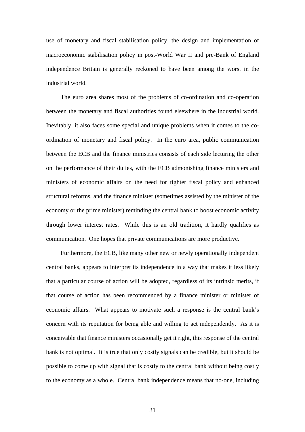use of monetary and fiscal stabilisation policy, the design and implementation of macroeconomic stabilisation policy in post-World War II and pre-Bank of England independence Britain is generally reckoned to have been among the worst in the industrial world.

The euro area shares most of the problems of co-ordination and co-operation between the monetary and fiscal authorities found elsewhere in the industrial world. Inevitably, it also faces some special and unique problems when it comes to the coordination of monetary and fiscal policy. In the euro area, public communication between the ECB and the finance ministries consists of each side lecturing the other on the performance of their duties, with the ECB admonishing finance ministers and ministers of economic affairs on the need for tighter fiscal policy and enhanced structural reforms, and the finance minister (sometimes assisted by the minister of the economy or the prime minister) reminding the central bank to boost economic activity through lower interest rates. While this is an old tradition, it hardly qualifies as communication. One hopes that private communications are more productive.

Furthermore, the ECB, like many other new or newly operationally independent central banks, appears to interpret its independence in a way that makes it less likely that a particular course of action will be adopted, regardless of its intrinsic merits, if that course of action has been recommended by a finance minister or minister of economic affairs. What appears to motivate such a response is the central bank's concern with its reputation for being able and willing to act independently. As it is conceivable that finance ministers occasionally get it right, this response of the central bank is not optimal. It is true that only costly signals can be credible, but it should be possible to come up with signal that is costly to the central bank without being costly to the economy as a whole. Central bank independence means that no-one, including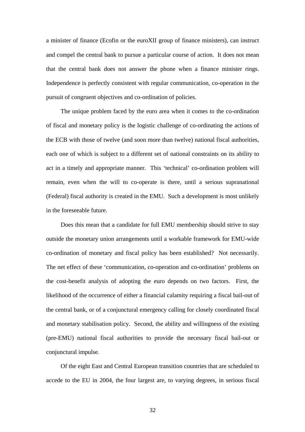a minister of finance (Ecofin or the euroXII group of finance ministers), can instruct and compel the central bank to pursue a particular course of action. It does not mean that the central bank does not answer the phone when a finance minister rings. Independence is perfectly consistent with regular communication, co-operation in the pursuit of congruent objectives and co-ordination of policies.

The unique problem faced by the euro area when it comes to the co-ordination of fiscal and monetary policy is the logistic challenge of co-ordinating the actions of the ECB with those of twelve (and soon more than twelve) national fiscal authorities, each one of which is subject to a different set of national constraints on its ability to act in a timely and appropriate manner. This 'technical' co-ordination problem will remain, even when the will to co-operate is there, until a serious supranational (Federal) fiscal authority is created in the EMU. Such a development is most unlikely in the foreseeable future.

Does this mean that a candidate for full EMU membership should strive to stay outside the monetary union arrangements until a workable framework for EMU-wide co-ordination of monetary and fiscal policy has been established? Not necessarily. The net effect of these 'communication, co-operation and co-ordination' problems on the cost-benefit analysis of adopting the euro depends on two factors. First, the likelihood of the occurrence of either a financial calamity requiring a fiscal bail-out of the central bank, or of a conjunctural emergency calling for closely coordinated fiscal and monetary stabilisation policy. Second, the ability and willingness of the existing (pre-EMU) national fiscal authorities to provide the necessary fiscal bail-out or conjunctural impulse.

Of the eight East and Central European transition countries that are scheduled to accede to the EU in 2004, the four largest are, to varying degrees, in serious fiscal

32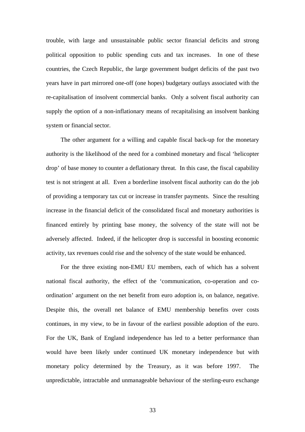trouble, with large and unsustainable public sector financial deficits and strong political opposition to public spending cuts and tax increases. In one of these countries, the Czech Republic, the large government budget deficits of the past two years have in part mirrored one-off (one hopes) budgetary outlays associated with the re-capitalisation of insolvent commercial banks. Only a solvent fiscal authority can supply the option of a non-inflationary means of recapitalising an insolvent banking system or financial sector.

The other argument for a willing and capable fiscal back-up for the monetary authority is the likelihood of the need for a combined monetary and fiscal 'helicopter drop' of base money to counter a deflationary threat. In this case, the fiscal capability test is not stringent at all. Even a borderline insolvent fiscal authority can do the job of providing a temporary tax cut or increase in transfer payments. Since the resulting increase in the financial deficit of the consolidated fiscal and monetary authorities is financed entirely by printing base money, the solvency of the state will not be adversely affected. Indeed, if the helicopter drop is successful in boosting economic activity, tax revenues could rise and the solvency of the state would be enhanced.

For the three existing non-EMU EU members, each of which has a solvent national fiscal authority, the effect of the 'communication, co-operation and coordination' argument on the net benefit from euro adoption is, on balance, negative. Despite this, the overall net balance of EMU membership benefits over costs continues, in my view, to be in favour of the earliest possible adoption of the euro. For the UK, Bank of England independence has led to a better performance than would have been likely under continued UK monetary independence but with monetary policy determined by the Treasury, as it was before 1997. The unpredictable, intractable and unmanageable behaviour of the sterling-euro exchange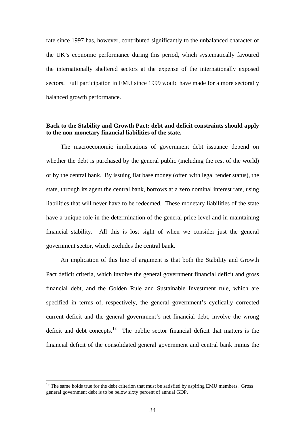rate since 1997 has, however, contributed significantly to the unbalanced character of the UK's economic performance during this period, which systematically favoured the internationally sheltered sectors at the expense of the internationally exposed sectors. Full participation in EMU since 1999 would have made for a more sectorally balanced growth performance.

#### **Back to the Stability and Growth Pact: debt and deficit constraints should apply to the non-monetary financial liabilities of the state.**

The macroeconomic implications of government debt issuance depend on whether the debt is purchased by the general public (including the rest of the world) or by the central bank. By issuing fiat base money (often with legal tender status), the state, through its agent the central bank, borrows at a zero nominal interest rate, using liabilities that will never have to be redeemed. These monetary liabilities of the state have a unique role in the determination of the general price level and in maintaining financial stability. All this is lost sight of when we consider just the general government sector, which excludes the central bank.

An implication of this line of argument is that both the Stability and Growth Pact deficit criteria, which involve the general government financial deficit and gross financial debt, and the Golden Rule and Sustainable Investment rule, which are specified in terms of, respectively, the general government's cyclically corrected current deficit and the general government's net financial debt, involve the wrong deficit and debt concepts.<sup>18</sup> The public sector financial deficit that matters is the financial deficit of the consolidated general government and central bank minus the

<span id="page-35-0"></span> $18$  The same holds true for the debt criterion that must be satisfied by aspiring EMU members. Gross general government debt is to be below sixty percent of annual GDP.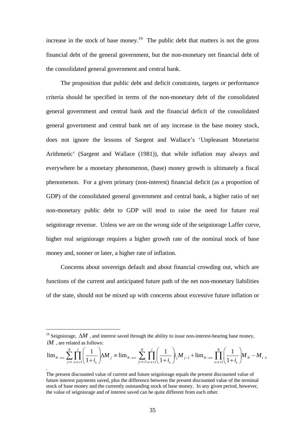increase in the stock of base money.<sup>19</sup> The public debt that matters is not the gross financial debt of the general government, but the non-monetary net financial debt of the consolidated general government and central bank.

The proposition that public debt and deficit constraints, targets or performance criteria should be specified in terms of the non-monetary debt of the consolidated general government and central bank and the financial deficit of the consolidated general government and central bank net of any increase in the base money stock, does not ignore the lessons of Sargent and Wallace's 'Unpleasant Monetarist Arithmetic' (Sargent and Wallace (1981)), that while inflation may always and everywhere be a monetary phenomenon, (base) money growth is ultimately a fiscal phenomenon. For a given primary (non-interest) financial deficit (as a proportion of GDP) of the consolidated general government and central bank, a higher ratio of net non-monetary public debt to GDP will tend to raise the need for future real seigniorage revenue. Unless we are on the wrong side of the seigniorage Laffer curve, higher real seigniorage requires a higher growth rate of the nominal stock of base money and, sooner or later, a higher rate of inflation.

Concerns about sovereign default and about financial crowding out, which are functions of the current and anticipated future path of the net non-monetary liabilities of the state, should not be mixed up with concerns about excessive future inflation or

$$
\lim_{N \to \infty} \sum_{j=t}^{N} \prod_{s=t+1}^{j} \left( \frac{1}{1+i_s} \right) \Delta M_j = \lim_{N \to \infty} \sum_{j=t+1}^{N} \prod_{s=t+1}^{j} \left( \frac{1}{1+i_s} \right) j M_{j-1} + \lim_{N \to \infty} \prod_{s=t+1}^{N} \left( \frac{1}{1+i_s} \right) M_N - M_{t-1}
$$

<span id="page-36-0"></span><sup>&</sup>lt;sup>19</sup> Seigniorage,  $\Delta M$ , and interest saved through the ability to issue non-interest-bearing base money, *iM* , are related as follows:

The present discounted value of current and future seigniorage equals the present discounted value of future interest payments saved, plus the difference between the present discounted value of the terminal stock of base money and the currently outstanding stock of base money. In any given period, however, the value of seigniorage and of interest saved can be quite different from each other.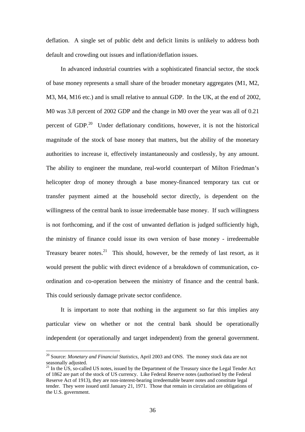deflation. A single set of public debt and deficit limits is unlikely to address both default and crowding out issues and inflation/deflation issues.

In advanced industrial countries with a sophisticated financial sector, the stock of base money represents a small share of the broader monetary aggregates (M1, M2, M3, M4, M16 etc.) and is small relative to annual GDP. In the UK, at the end of 2002, M0 was 3.8 percent of 2002 GDP and the change in M0 over the year was all of 0.21 percent of GDP.<sup>20</sup> Under deflationary conditions, however, it is not the historical magnitude of the stock of base money that matters, but the ability of the monetary authorities to increase it, effectively instantaneously and costlessly, by any amount. The ability to engineer the mundane, real-world counterpart of Milton Friedman's helicopter drop of money through a base money-financed temporary tax cut or transfer payment aimed at the household sector directly, is dependent on the willingness of the central bank to issue irredeemable base money. If such willingness is not forthcoming, and if the cost of unwanted deflation is judged sufficiently high, the ministry of finance could issue its own version of base money - irredeemable Treasury bearer notes.<sup>21</sup> This should, however, be the remedy of last resort, as it would present the public with direct evidence of a breakdown of communication, coordination and co-operation between the ministry of finance and the central bank. This could seriously damage private sector confidence.

It is important to note that nothing in the argument so far this implies any particular view on whether or not the central bank should be operationally independent (or operationally and target independent) from the general government.

<span id="page-37-0"></span><sup>20</sup> Source: *Monetary and Financial Statistics*, April 2003 and ONS. The money stock data are not seasonally adjusted.

<span id="page-37-1"></span> $21$  In the US, so-called US notes, issued by the Department of the Treasury since the Legal Tender Act of 1862 are part of the stock of US currency. Like Federal Reserve notes (authorised by the Federal Reserve Act of 1913), they are non-interest-bearing irredeemable bearer notes and constitute legal tender. They were issued until January 21, 1971. Those that remain in circulation are obligations of the U.S. government.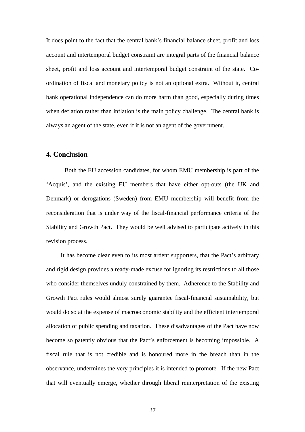It does point to the fact that the central bank's financial balance sheet, profit and loss account and intertemporal budget constraint are integral parts of the financial balance sheet, profit and loss account and intertemporal budget constraint of the state. Coordination of fiscal and monetary policy is not an optional extra. Without it, central bank operational independence can do more harm than good, especially during times when deflation rather than inflation is the main policy challenge. The central bank is always an agent of the state, even if it is not an agent of the government.

#### **4. Conclusion**

Both the EU accession candidates, for whom EMU membership is part of the 'Acquis', and the existing EU members that have either opt-outs (the UK and Denmark) or derogations (Sweden) from EMU membership will benefit from the reconsideration that is under way of the fiscal-financial performance criteria of the Stability and Growth Pact. They would be well advised to participate actively in this revision process.

It has become clear even to its most ardent supporters, that the Pact's arbitrary and rigid design provides a ready-made excuse for ignoring its restrictions to all those who consider themselves unduly constrained by them. Adherence to the Stability and Growth Pact rules would almost surely guarantee fiscal-financial sustainability, but would do so at the expense of macroeconomic stability and the efficient intertemporal allocation of public spending and taxation. These disadvantages of the Pact have now become so patently obvious that the Pact's enforcement is becoming impossible. A fiscal rule that is not credible and is honoured more in the breach than in the observance, undermines the very principles it is intended to promote. If the new Pact that will eventually emerge, whether through liberal reinterpretation of the existing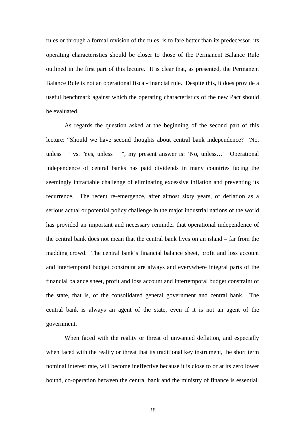rules or through a formal revision of the rules, is to fare better than its predecessor, its operating characteristics should be closer to those of the Permanent Balance Rule outlined in the first part of this lecture. It is clear that, as presented, the Permanent Balance Rule is not an operational fiscal-financial rule. Despite this, it does provide a useful benchmark against which the operating characteristics of the new Pact should be evaluated.

As regards the question asked at the beginning of the second part of this lecture: "Should we have second thoughts about central bank independence? 'No, unless ' vs. 'Yes, unless '", my present answer is: 'No, unless…' Operational independence of central banks has paid dividends in many countries facing the seemingly intractable challenge of eliminating excessive inflation and preventing its recurrence. The recent re-emergence, after almost sixty years, of deflation as a serious actual or potential policy challenge in the major industrial nations of the world has provided an important and necessary reminder that operational independence of the central bank does not mean that the central bank lives on an island – far from the madding crowd. The central bank's financial balance sheet, profit and loss account and intertemporal budget constraint are always and everywhere integral parts of the financial balance sheet, profit and loss account and intertemporal budget constraint of the state, that is, of the consolidated general government and central bank. The central bank is always an agent of the state, even if it is not an agent of the government.

When faced with the reality or threat of unwanted deflation, and especially when faced with the reality or threat that its traditional key instrument, the short term nominal interest rate, will become ineffective because it is close to or at its zero lower bound, co-operation between the central bank and the ministry of finance is essential.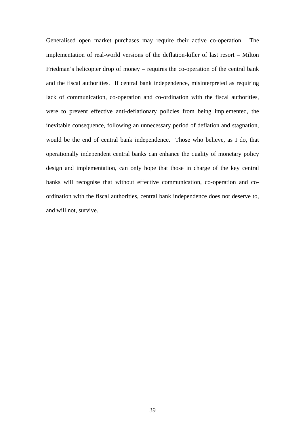Generalised open market purchases may require their active co-operation. The implementation of real-world versions of the deflation-killer of last resort – Milton Friedman's helicopter drop of money – requires the co-operation of the central bank and the fiscal authorities. If central bank independence, misinterpreted as requiring lack of communication, co-operation and co-ordination with the fiscal authorities, were to prevent effective anti-deflationary policies from being implemented, the inevitable consequence, following an unnecessary period of deflation and stagnation, would be the end of central bank independence. Those who believe, as I do, that operationally independent central banks can enhance the quality of monetary policy design and implementation, can only hope that those in charge of the key central banks will recognise that without effective communication, co-operation and coordination with the fiscal authorities, central bank independence does not deserve to, and will not, survive.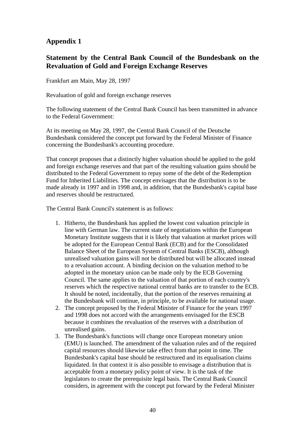## **Appendix 1**

## **Statement by the Central Bank Council of the Bundesbank on the Revaluation of Gold and Foreign Exchange Reserves**

Frankfurt am Main, May 28, 1997

Revaluation of gold and foreign exchange reserves

The following statement of the Central Bank Council has been transmitted in advance to the Federal Government:

At its meeting on May 28, 1997, the Central Bank Council of the Deutsche Bundesbank considered the concept put forward by the Federal Minister of Finance concerning the Bundesbank's accounting procedure.

That concept proposes that a distinctly higher valuation should be applied to the gold and foreign exchange reserves and that part of the resulting valuation gains should be distributed to the Federal Government to repay some of the debt of the Redemption Fund for Inherited Liabilities. The concept envisages that the distribution is to be made already in 1997 and in 1998 and, in addition, that the Bundesbank's capital base and reserves should be restructured.

The Central Bank Council's statement is as follows:

- 1. Hitherto, the Bundesbank has applied the lowest cost valuation principle in line with German law. The current state of negotiations within the European Monetary Institute suggests that it is likely that valuation at market prices will be adopted for the European Central Bank (ECB) and for the Consolidated Balance Sheet of the European System of Central Banks (ESCB), although unrealised valuation gains will not be distributed but will be allocated instead to a revaluation account. A binding decision on the valuation method to be adopted in the monetary union can be made only by the ECB Governing Council. The same applies to the valuation of that portion of each country's reserves which the respective national central banks are to transfer to the ECB. It should be noted, incidentally, that the portion of the reserves remaining at the Bundesbank will continue, in principle, to be available for national usage.
- 2. The concept proposed by the Federal Minister of Finance for the years 1997 and 1998 does not accord with the arrangements envisaged for the ESCB because it combines the revaluation of the reserves with a distribution of unrealised gains.
- 3. The Bundesbank's functions will change once European monetary union (EMU) is launched. The amendment of the valuation rules and of the required capital resources should likewise take effect from that point in time. The Bundesbank's capital base should be restructured and its equalisation claims liquidated. In that context it is also possible to envisage a distribution that is acceptable from a monetary policy point of view. It is the task of the legislators to create the prerequisite legal basis. The Central Bank Council considers, in agreement with the concept put forward by the Federal Minister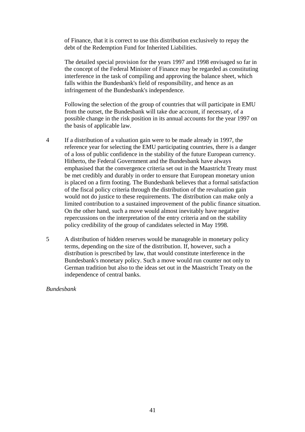of Finance, that it is correct to use this distribution exclusively to repay the debt of the Redemption Fund for Inherited Liabilities.

The detailed special provision for the years 1997 and 1998 envisaged so far in the concept of the Federal Minister of Finance may be regarded as constituting interference in the task of compiling and approving the balance sheet, which falls within the Bundesbank's field of responsibility, and hence as an infringement of the Bundesbank's independence.

Following the selection of the group of countries that will participate in EMU from the outset, the Bundesbank will take due account, if necessary, of a possible change in the risk position in its annual accounts for the year 1997 on the basis of applicable law.

- 4 If a distribution of a valuation gain were to be made already in 1997, the reference year for selecting the EMU participating countries, there is a danger of a loss of public confidence in the stability of the future European currency. Hitherto, the Federal Government and the Bundesbank have always emphasised that the convergence criteria set out in the Maastricht Treaty must be met credibly and durably in order to ensure that European monetary union is placed on a firm footing. The Bundesbank believes that a formal satisfaction of the fiscal policy criteria through the distribution of the revaluation gain would not do justice to these requirements. The distribution can make only a limited contribution to a sustained improvement of the public finance situation. On the other hand, such a move would almost inevitably have negative repercussions on the interpretation of the entry criteria and on the stability policy credibility of the group of candidates selected in May 1998.
- 5 A distribution of hidden reserves would be manageable in monetary policy terms, depending on the size of the distribution. If, however, such a distribution is prescribed by law, that would constitute interference in the Bundesbank's monetary policy. Such a move would run counter not only to German tradition but also to the ideas set out in the Maastricht Treaty on the independence of central banks.

#### *[Bundesbank](http://www.bundesbank.de/index_e.html)*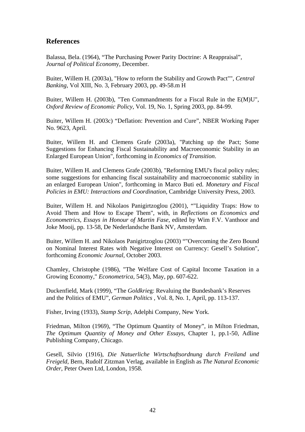## **References**

Balassa, Bela. (1964), "The Purchasing Power Parity Doctrine: A Reappraisal", *Journal of Political Econom*y, December.

Buiter, Willem H. (2003a), ["How to reform the Stability and Growth Pact"",](http://www.nber.org/%7Ewbuiter/banker.pdf) *Central Banking*, Vol XIII, No. 3, February 2003, pp. 49-58.m H

Buiter, Willem H. (2003b), ["Ten Commandments for a Fiscal Rule in the E\(M\)U"](http://www.nber.org/%7Ewbuiter/orep.pdf), *Oxford Review of Economic Policy*, Vol. 19, No. 1, Spring 2003, pp. 84-99.

Buiter, Willem H. (2003c) "Deflation: Prevention and Cure", NBER Working Paper No. 9623, April.

Buiter, Willem H. and Clemens Grafe (2003a), ["Patching up the Pact; Some](http://www.nber.org/%7Ewbuiter/trans.pdf) [Suggestions for Enhancing Fiscal Sustainability and Macroeconomic Stability in an](http://www.nber.org/%7Ewbuiter/trans.pdf)  [Enlarged European Union"](http://www.nber.org/%7Ewbuiter/trans.pdf), forthcoming in *Economics of Transition*.

Buiter, Willem H. and Clemens Grafe (2003b), ["Reforming EMU's fiscal policy rules;](http://www.nber.org/%7Ewbuiter/pact.pdf) [some suggestions for enhancing fiscal sustainability and macroeconomic stability in](http://www.nber.org/%7Ewbuiter/pact.pdf)  [an enlarged European Union",](http://www.nber.org/%7Ewbuiter/pact.pdf) forthcoming in Marco Buti ed. *Monetary and Fiscal Policies in EMU: Interactions and Coordination*, Cambridge University Press, 2003.

Buiter, Willem H. and Nikolaos Panigirtzoglou (2001), [""Liquidity Traps: How to](http://www.nber.org/~wbuiter/geselllast.pdf)  [Avoid Them and How to Escape Them",](http://www.nber.org/~wbuiter/geselllast.pdf) with, in *Reflections on Economics and Econometrics, Essays in Honour of Martin Fase*, edited by Wim F.V. Vanthoor and Joke Mooij, pp. 13-58, De Nederlandsche Bank NV, Amsterdam.

Buiter, Willem H. and Nikolaos Panigirtzoglou (2003) "["Overcoming the Zero Bound](http://www.nber.org/~wbuiter/liqnew.pdf)  [on Nominal Interest Rates with Negative Interest on Currency: Gesell's Solution"](http://www.nber.org/~wbuiter/liqnew.pdf), forthcoming *Economic Journal*, October 2003.

Chamley, Christophe (1986), "The Welfare Cost of Capital Income Taxation in a Growing Economy," *Econometrica,* 54(3), May, pp. 607-622.

Duckenfield, Mark (1999), "The *Goldkrie*g: Revaluing the Bundesbank's Reserves and the Politics of EMU", *German Politics* , Vol. 8, No. 1, April, pp. 113-137.

Fisher, Irving (1933), *Stamp Scrip*, Adelphi Company, New York.

Friedman, Milton (1969), "The Optimum Quantity of Money", in Milton Friedman, *The Optimum Quantity of Money and Other Essays*, Chapter 1, pp.1-50, Adline Publishing Company, Chicago.

Gesell, Silvio (1916), *Die Natuerliche Wirtschaftsordnung durch Freiland und Freigeld*, Bern, Rudolf Zitzman Verlag, available in English as *The Natural Economic Order*, Peter Owen Ltd, London, 1958.